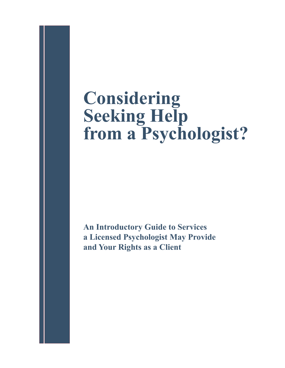# **Considering Seeking Help from a Psychologist?**

**An Introductory Guide to Services a Licensed Psychologist May Provide and Your Rights as a Client**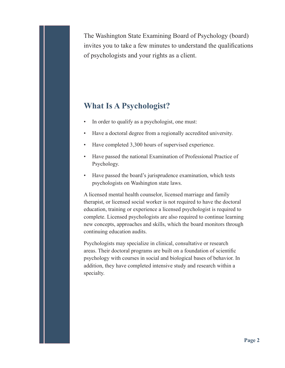The Washington State Examining Board of Psychology (board) invites you to take a few minutes to understand the qualifications of psychologists and your rights as a client.

# **What Is A Psychologist?**

- In order to qualify as a psychologist, one must:
- Have a doctoral degree from a regionally accredited university.
- Have completed 3,300 hours of supervised experience.
- Have passed the national Examination of Professional Practice of Psychology.
- Have passed the board's jurisprudence examination, which tests psychologists on Washington state laws.

A licensed mental health counselor, licensed marriage and family therapist, or licensed social worker is not required to have the doctoral education, training or experience a licensed psychologist is required to complete. Licensed psychologists are also required to continue learning new concepts, approaches and skills, which the board monitors through continuing education audits.

Psychologists may specialize in clinical, consultative or research areas. Their doctoral programs are built on a foundation of scientific psychology with courses in social and biological bases of behavior. In addition, they have completed intensive study and research within a specialty.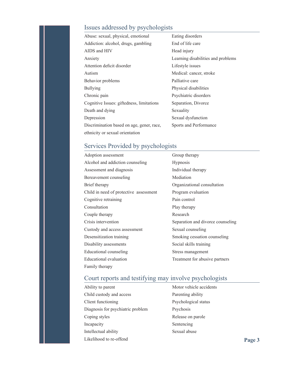## Issues addressed by psychologists

| Abuse: sexual, physical, emotional        | Eating disorders                   |
|-------------------------------------------|------------------------------------|
| Addiction: alcohol, drugs, gambling       | End of life care                   |
| AIDS and HIV                              | Head injury                        |
| Anxiety                                   | Learning disabilities and problems |
| Attention deficit disorder                | Lifestyle issues                   |
| Autism                                    | Medical: cancer, stroke            |
| Behavior problems                         | Palliative care                    |
| <b>Bullying</b>                           | Physical disabilities              |
| Chronic pain                              | Psychiatric disorders              |
| Cognitive Issues: giftedness, limitations | Separation, Divorce                |
| Death and dying                           | Sexuality                          |
| Depression                                | Sexual dysfunction                 |
| Discrimination based on age, gener, race, | Sports and Performance             |
| ethnicity or sexual orientation           |                                    |

## Services Provided by psychologists

| Adoption assessment                    | Group therapy                     |
|----------------------------------------|-----------------------------------|
| Alcohol and addiction counseling       | Hypnosis                          |
| Assessment and diagnosis               | Individual therapy                |
| Bereavement counseling                 | Mediation                         |
| Brief therapy                          | Organizational consultation       |
| Child in need of protective assessment | Program evaluation                |
| Cognitive retraining                   | Pain control                      |
| Consultation                           | Play therapy                      |
| Couple therapy                         | Research                          |
| Crisis intervention                    | Separation and divorce counseling |
| Custody and access assessment          | Sexual counseling                 |
| Desensitization training               | Smoking cessation counseling      |
| Disability assessments                 | Social skills training            |
| Educational counseling                 | Stress management                 |
| Educational evaluation                 | Treatment for abusive partners    |
| Family therapy                         |                                   |

### Court reports and testifying may involve psychologists

| Ability to parent                 |
|-----------------------------------|
| Child custody and access          |
| Client functioning                |
| Diagnosis for psychiatric problem |
| Coping styles                     |
| Incapacity                        |
| Intellectual ability              |
| Likelihood to re-offend           |

Motor vehicle accidents Parenting ability Psychological status Psychosis Release on parole Sentencing Sexual abuse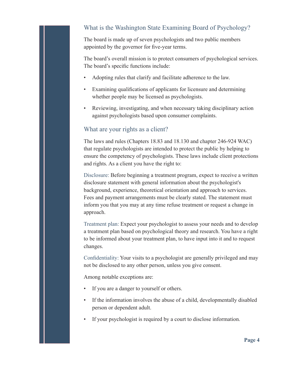## What is the Washington State Examining Board of Psychology?

The board is made up of seven psychologists and two public members appointed by the governor for five-year terms.

The board's overall mission is to protect consumers of psychological services. The board's specific functions include:

- Adopting rules that clarify and facilitate adherence to the law.
- Examining qualifications of applicants for licensure and determining whether people may be licensed as psychologists.
- Reviewing, investigating, and when necessary taking disciplinary action against psychologists based upon consumer complaints.

#### What are your rights as a client?

The laws and rules (Chapters 18.83 and 18.130 and chapter 246-924 WAC) that regulate psychologists are intended to protect the public by helping to ensure the competency of psychologists. These laws include client protections and rights. As a client you have the right to:

Disclosure: Before beginning a treatment program, expect to receive a written disclosure statement with general information about the psychologist's background, experience, theoretical orientation and approach to services. Fees and payment arrangements must be clearly stated. The statement must inform you that you may at any time refuse treatment or request a change in approach.

Treatment plan: Expect your psychologist to assess your needs and to develop a treatment plan based on psychological theory and research. You have a right to be informed about your treatment plan, to have input into it and to request changes.

Confidentiality: Your visits to a psychologist are generally privileged and may not be disclosed to any other person, unless you give consent.

Among notable exceptions are:

- If you are a danger to yourself or others.
- If the information involves the abuse of a child, developmentally disabled person or dependent adult.
- If your psychologist is required by a court to disclose information.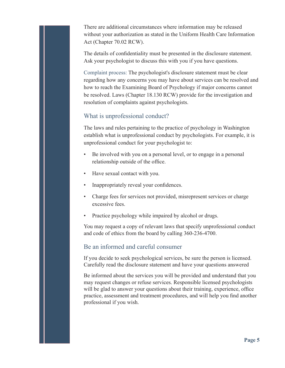There are additional circumstances where information may be released without your authorization as stated in the Uniform Health Care Information Act (Chapter 70.02 RCW).

The details of confidentiality must be presented in the disclosure statement. Ask your psychologist to discuss this with you if you have questions.

Complaint process: The psychologist's disclosure statement must be clear regarding how any concerns you may have about services can be resolved and how to reach the Examining Board of Psychology if major concerns cannot be resolved. Laws (Chapter 18.130 RCW) provide for the investigation and resolution of complaints against psychologists.

#### What is unprofessional conduct?

The laws and rules pertaining to the practice of psychology in Washington establish what is unprofessional conduct by psychologists. For example, it is unprofessional conduct for your psychologist to:

- Be involved with you on a personal level, or to engage in a personal relationship outside of the office.
- Have sexual contact with you.
- Inappropriately reveal your confidences.
- Charge fees for services not provided, misrepresent services or charge excessive fees.
- Practice psychology while impaired by alcohol or drugs.

You may request a copy of relevant laws that specify unprofessional conduct and code of ethics from the board by calling 360-236-4700.

#### Be an informed and careful consumer

If you decide to seek psychological services, be sure the person is licensed. Carefully read the disclosure statement and have your questions answered

Be informed about the services you will be provided and understand that you may request changes or refuse services. Responsible licensed psychologists will be glad to answer your questions about their training, experience, office practice, assessment and treatment procedures, and will help you find another professional if you wish.